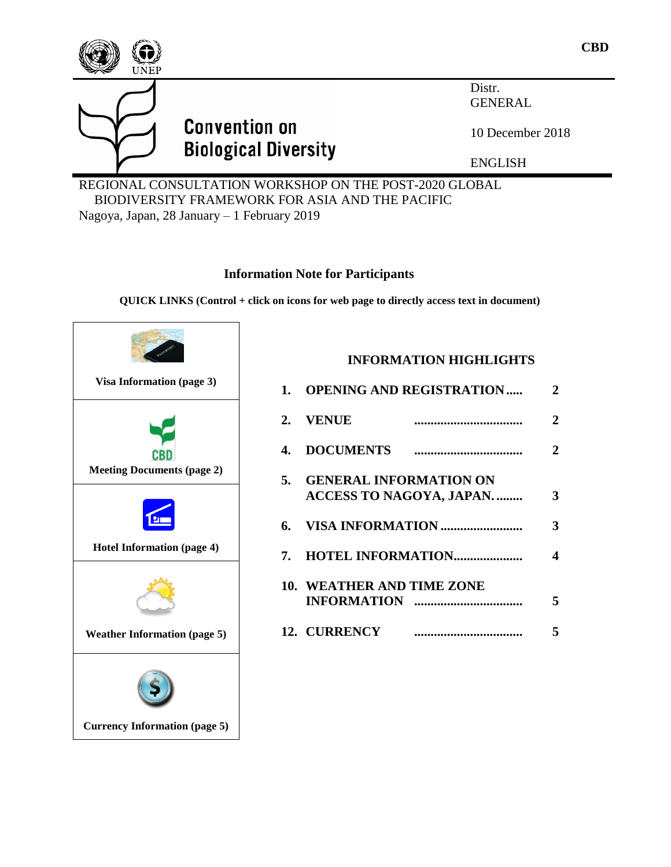

BIODIVERSITY FRAMEWORK FOR ASIA AND THE PACIFIC

Nagoya, Japan, 28 January – 1 February 2019

# **Information Note for Participants**

**QUICK LINKS (Control + click on icons for web page to directly access text in document)**



# **INFORMATION HIGHLIGHTS**

| 1. OPENING AND REGISTRATION                                 |  | $\overline{2}$ |
|-------------------------------------------------------------|--|----------------|
| 2. VENUE                                                    |  | $\overline{2}$ |
|                                                             |  | $\overline{2}$ |
| 5. GENERAL INFORMATION ON<br><b>ACCESS TO NAGOYA, JAPAN</b> |  | 3              |
|                                                             |  | 3              |
|                                                             |  | 4              |
| <b>10. WEATHER AND TIME ZONE</b>                            |  | 5              |
| 12. CURRENCY                                                |  | 5              |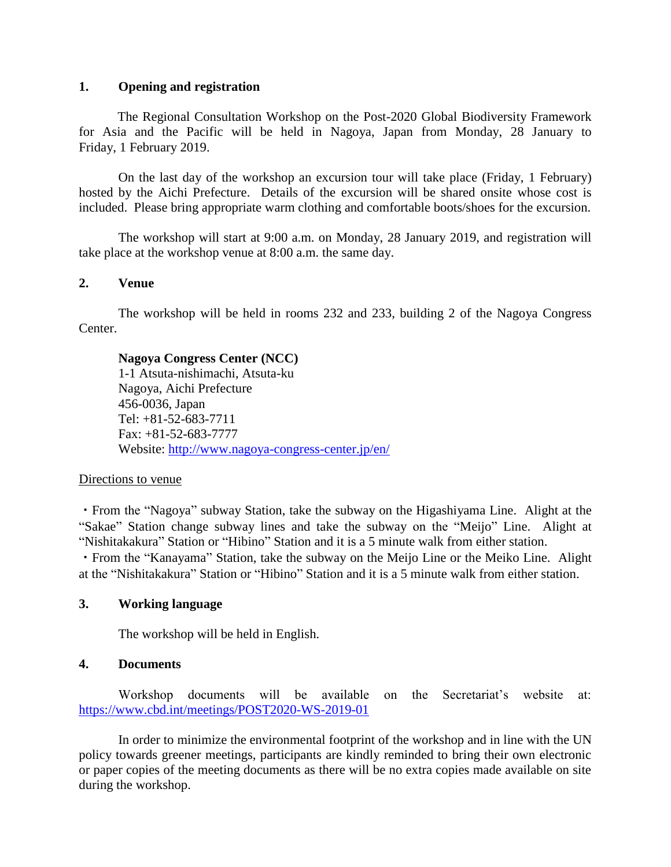#### **1. Opening and registration**

The Regional Consultation Workshop on the Post-2020 Global Biodiversity Framework for Asia and the Pacific will be held in Nagoya, Japan from Monday, 28 January to Friday, 1 February 2019.

On the last day of the workshop an excursion tour will take place (Friday, 1 February) hosted by the Aichi Prefecture. Details of the excursion will be shared onsite whose cost is included. Please bring appropriate warm clothing and comfortable boots/shoes for the excursion.

The workshop will start at 9:00 a.m. on Monday, 28 January 2019, and registration will take place at the workshop venue at 8:00 a.m. the same day.

#### **2. Venue**

The workshop will be held in rooms 232 and 233, building 2 of the Nagoya Congress Center.

#### **Nagoya Congress Center (NCC)**

1-1 Atsuta-nishimachi, Atsuta-ku Nagoya, Aichi Prefecture 456-0036, Japan Tel: +81-52-683-7711 Fax: +81-52-683-7777 Website:<http://www.nagoya-congress-center.jp/en/>

#### Directions to venue

・From the "Nagoya" subway Station, take the subway on the Higashiyama Line. Alight at the "Sakae" Station change subway lines and take the subway on the "Meijo" Line. Alight at "Nishitakakura" Station or "Hibino" Station and it is a 5 minute walk from either station.

・From the "Kanayama" Station, take the subway on the Meijo Line or the Meiko Line. Alight at the "Nishitakakura" Station or "Hibino" Station and it is a 5 minute walk from either station.

#### **3. Working language**

The workshop will be held in English.

#### <span id="page-1-0"></span>**4. Documents**

Workshop documents will be available on the Secretariat's website at: <https://www.cbd.int/meetings/POST2020-WS-2019-01>

In order to minimize the environmental footprint of the workshop and in line with the UN policy towards greener meetings, participants are kindly reminded to bring their own electronic or paper copies of the meeting documents as there will be no extra copies made available on site during the workshop.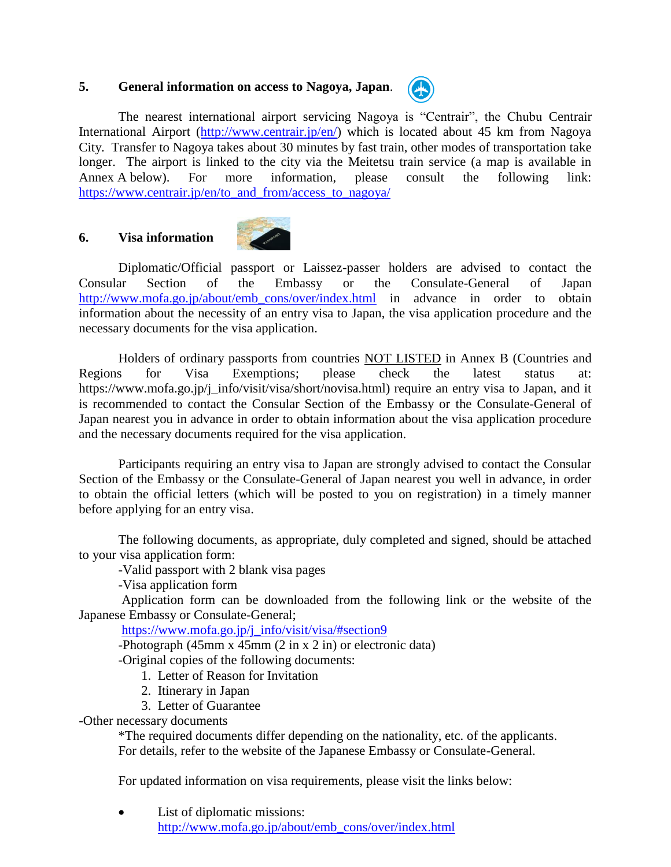# **5. General information on access to Nagoya, Japan**.



The nearest international airport servicing Nagoya is "Centrair", the Chubu Centrair International Airport (http://www.centrair.jp/en/) which is located about 45 km from Nagoya City. Transfer to Nagoya takes about 30 minutes by fast train, other modes of transportation take longer. The airport is linked to the city via the Meitetsu train service (a map is available in Annex A below). For more information, please consult the following link: [https://www.centrair.jp/en/to\\_and\\_from/access\\_to\\_nagoya/](https://www.centrair.jp/en/to_and_from/access_to_nagoya/)

# <span id="page-2-0"></span>**6. Visa information**



Diplomatic/Official passport or Laissez-passer holders are advised to contact the Consular Section of the Embassy or the Consulate-General of Japan [http://www.mofa.go.jp/about/emb\\_cons/over/index.html](http://www.mofa.go.jp/about/emb_cons/over/index.html) in advance in order to obtain information about the necessity of an entry visa to Japan, the visa application procedure and the necessary documents for the visa application.

Holders of ordinary passports from countries **NOT LISTED** in Annex B (Countries and Regions for Visa Exemptions; please check the latest status at: https://www.mofa.go.jp/j\_info/visit/visa/short/novisa.html) require an entry visa to Japan, and it is recommended to contact the Consular Section of the Embassy or the Consulate-General of Japan nearest you in advance in order to obtain information about the visa application procedure and the necessary documents required for the visa application.

Participants requiring an entry visa to Japan are strongly advised to contact the Consular Section of the Embassy or the Consulate-General of Japan nearest you well in advance, in order to obtain the official letters (which will be posted to you on registration) in a timely manner before applying for an entry visa.

The following documents, as appropriate, duly completed and signed, should be attached to your visa application form:

-Valid passport with 2 blank visa pages

-Visa application form

Application form can be downloaded from the following link or the website of the Japanese Embassy or Consulate-General;

[https://www.mofa.go.jp/j\\_info/visit/visa/#section9](https://www.mofa.go.jp/j_info/visit/visa/#section9)

-Photograph (45mm x 45mm (2 in x 2 in) or electronic data)

-Original copies of the following documents:

- 1. Letter of Reason for Invitation
- 2. Itinerary in Japan
- 3. Letter of Guarantee

-Other necessary documents

\*The required documents differ depending on the nationality, etc. of the applicants. For details, refer to the website of the Japanese Embassy or Consulate-General.

For updated information on visa requirements, please visit the links below:

• List of diplomatic missions: [http://www.mofa.go.jp/about/emb\\_cons/over/index.html](http://www.mofa.go.jp/about/emb_cons/over/index.html)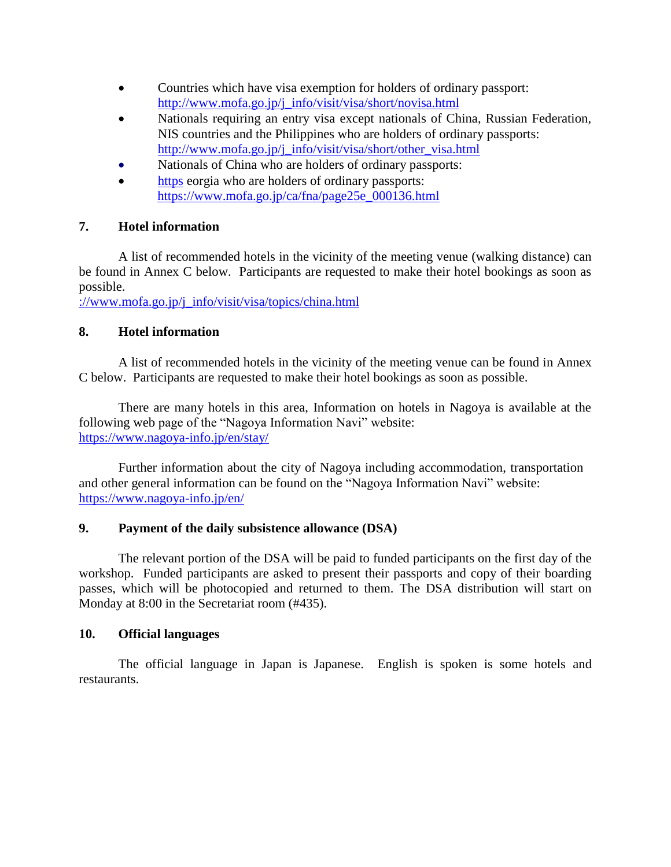- Countries which have visa exemption for holders of ordinary passport: [http://www.mofa.go.jp/j\\_info/visit/visa/short/novisa.html](http://www.mofa.go.jp/j_info/visit/visa/short/novisa.html)
- Nationals requiring an entry visa except nationals of China, Russian Federation, NIS countries and the Philippines who are holders of ordinary passports: [http://www.mofa.go.jp/j\\_info/visit/visa/short/other\\_visa.html](http://www.mofa.go.jp/j_info/visit/visa/short/other_visa.html)
- Nationals of China who are holders of ordinary passports:
- https [eorgia who are holders of ordinary passports:](https://www.mofa.go.jp/j_info/visit/visa/topics/china.html) [https://www.mofa.go.jp/ca/fna/page25e\\_000136.html](https://www.mofa.go.jp/ca/fna/page25e_000136.html)

# **7. [Hotel information](https://www.mofa.go.jp/j_info/visit/visa/topics/china.html)**

[A list of recommended hotels in the vicinity of the meeting venue \(walking distance\) can](https://www.mofa.go.jp/j_info/visit/visa/topics/china.html)  [be found in Annex C below. Participants are requested to make their hotel bookings as soon as](https://www.mofa.go.jp/j_info/visit/visa/topics/china.html)  [possible.](https://www.mofa.go.jp/j_info/visit/visa/topics/china.html)

[://www.mofa.go.jp/j\\_info/visit/visa/topics/china.html](https://www.mofa.go.jp/j_info/visit/visa/topics/china.html)

# <span id="page-3-0"></span>**8. Hotel information**

A list of recommended hotels in the vicinity of the meeting venue can be found in Annex C below. Participants are requested to make their hotel bookings as soon as possible.

There are many hotels in this area, Information on hotels in Nagoya is available at the following web page of the "Nagoya Information Navi" website: https://www.nagoya-info.jp/en/stay/

Further information about the city of Nagoya including accommodation, transportation and other general information can be found on the "Nagoya Information Navi" website: <https://www.nagoya-info.jp/en/>

# **9. Payment of the daily subsistence allowance (DSA)**

The relevant portion of the DSA will be paid to funded participants on the first day of the workshop. Funded participants are asked to present their passports and copy of their boarding passes, which will be photocopied and returned to them. The DSA distribution will start on Monday at 8:00 in the Secretariat room (#435).

# **10. Official languages**

The official language in Japan is Japanese. English is spoken is some hotels and restaurants.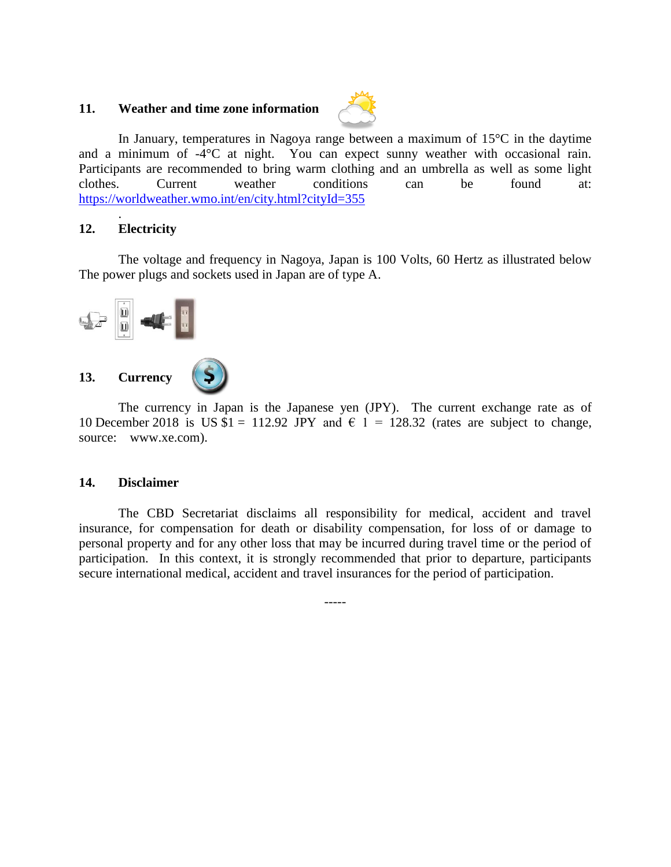# <span id="page-4-0"></span>**11. Weather and time zone information**



In January, temperatures in Nagoya range between a maximum of 15°C in the daytime and a minimum of -4<sup>o</sup>C at night. You can expect sunny weather with occasional rain. Participants are recommended to bring warm clothing and an umbrella as well as some light clothes. Current weather conditions can be found at: <https://worldweather.wmo.int/en/city.html?cityId=355>

#### **12. Electricity**

.

The voltage and frequency in Nagoya, Japan is 100 Volts, 60 Hertz as illustrated below The power plugs and sockets used in Japan are of type A.



<span id="page-4-1"></span>The currency in Japan is the Japanese yen (JPY). The current exchange rate as of 10 December 2018 is US  $$1 = 112.92$  JPY and  $$1 = 128.32$  (rates are subject to change, source: www.xe.com).

#### **14. Disclaimer**

The CBD Secretariat disclaims all responsibility for medical, accident and travel insurance, for compensation for death or disability compensation, for loss of or damage to personal property and for any other loss that may be incurred during travel time or the period of participation. In this context, it is strongly recommended that prior to departure, participants secure international medical, accident and travel insurances for the period of participation.

-----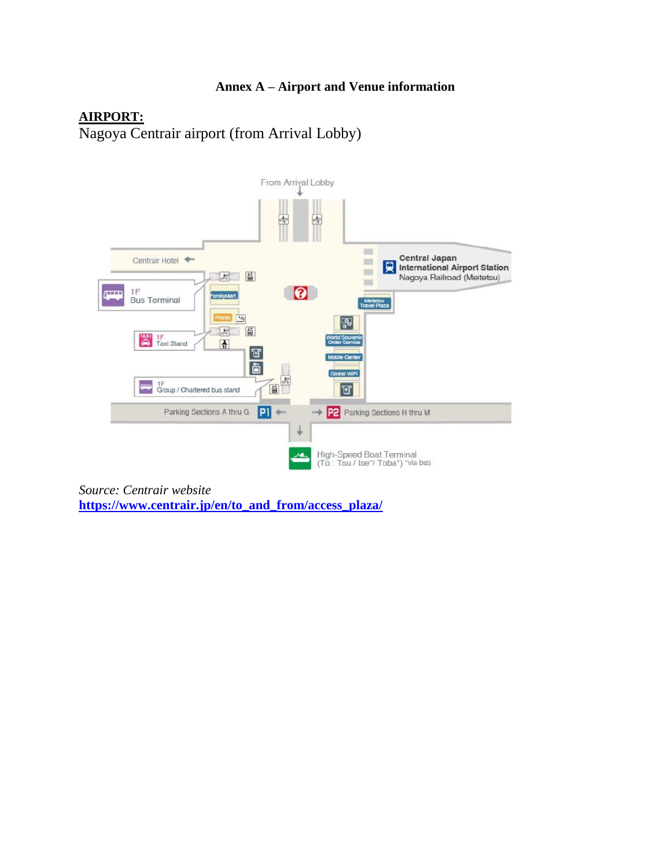# **Annex A – Airport and Venue information**

# **AIRPORT:**

Nagoya Centrair airport (from Arrival Lobby)



*Source: Centrair website* **[https://www.centrair.jp/en/to\\_and\\_from/access\\_plaza/](https://www.centrair.jp/en/to_and_from/access_plaza/)**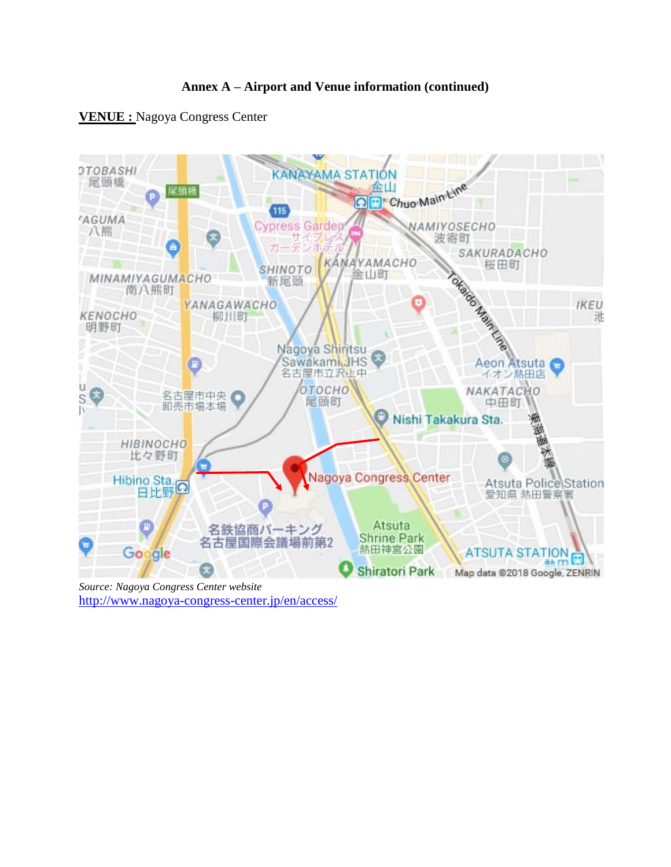

# **VENUE :** Nagoya Congress Center



*Source: Nagoya Congress Center website*  <http://www.nagoya-congress-center.jp/en/access/>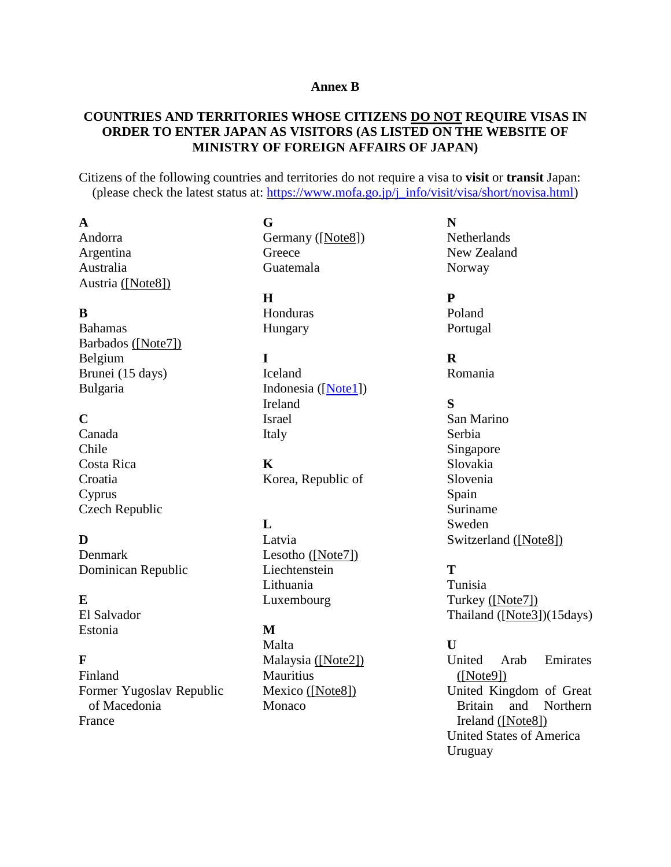#### **Annex B**

# **COUNTRIES AND TERRITORIES WHOSE CITIZENS DO NOT REQUIRE VISAS IN ORDER TO ENTER JAPAN AS VISITORS (AS LISTED ON THE WEBSITE OF MINISTRY OF FOREIGN AFFAIRS OF JAPAN)**

Citizens of the following countries and territories do not require a visa to **visit** or **transit** Japan: (please check the latest status at: [https://www.mofa.go.jp/j\\_info/visit/visa/short/novisa.html\)](https://www.mofa.go.jp/j_info/visit/visa/short/novisa.html)

#### **A**

Andorra Argentina Australia Austria [\(\[Note8\]\)](#page-8-0)

# **B**

Bahamas Barbados [\(\[Note7\]\)](#page-8-1) Belgium Brunei (15 days) Bulgaria

# **C**

Canada Chile Costa Rica Croatia Cyprus Czech Republic

**D**

Denmark Dominican Republic

#### **E**

El Salvador Estonia

# **F**

Finland Former Yugoslav Republic of Macedonia France

**G** Germany ([\[Note8\]](#page-8-0)) **Greece** Guatemala

#### **H**

Honduras Hungary

#### **I**

Iceland Indonesia ([\[Note1\]](#page-8-2)) Ireland Israel Italy

# **K**

Korea, Republic of

# **L**

Latvia Lesotho [\(\[Note7\]\)](#page-8-1) Liechtenstein Lithuania Luxembourg

# **M**

Malta Malaysia [\(\[Note2\]\)](#page-8-3) **Mauritius** Mexico [\(\[Note8\]\)](#page-8-0) Monaco

#### **N Netherlands** New Zealand Norway

**P** Poland Portugal

# **R**

Romania

# **S**

San Marino Serbia Singapore Slovakia Slovenia Spain Suriname Sweden Switzerland [\(\[Note8\]\)](#page-8-0)

# **T**

Tunisia Turkey [\(\[Note7\]\)](#page-8-1) Thailand ([\[Note3\]](#page-8-4))(15days)

# **U**

United Arab Emirates [\(\[Note9\]\)](#page-8-5) United Kingdom of Great Britain and Northern Ireland [\(\[Note8\]\)](#page-8-0) United States of America Uruguay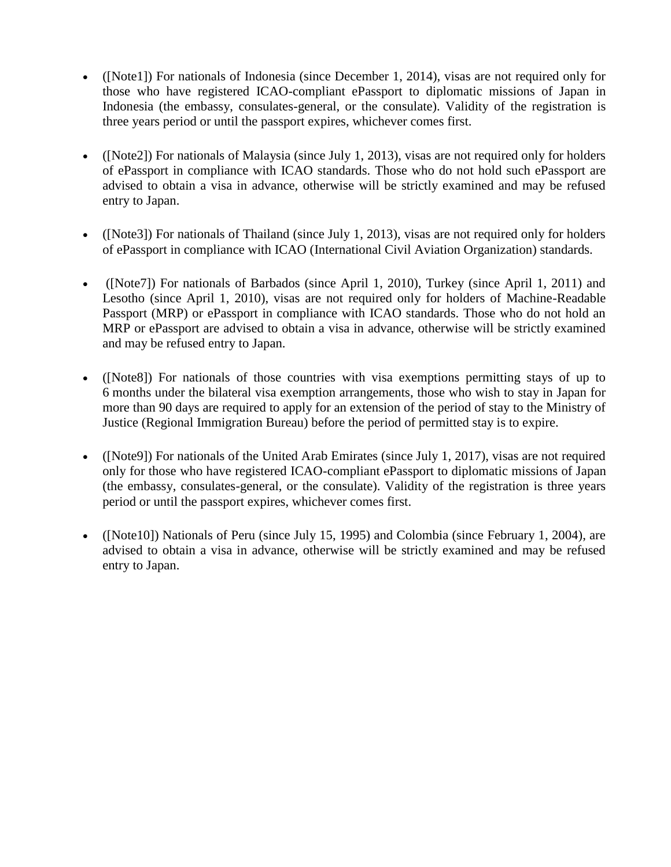- <span id="page-8-2"></span>• ([Note1]) [For nationals of Indonesia \(since December 1, 2014\), visas are not required only for](https://www.mofa.go.jp/press/release/press4e_000498.html)  [those who have registered ICAO-compliant ePassport to diplomatic missions of Japan in](https://www.mofa.go.jp/press/release/press4e_000498.html)  [Indonesia \(the embassy, consulates-general, or the consulate\). Validity of](https://www.mofa.go.jp/press/release/press4e_000498.html) the registration is [three years period or until the passport expires, whichever comes first.](https://www.mofa.go.jp/press/release/press4e_000498.html)
- <span id="page-8-3"></span>• ([Note2]) For nationals of Malaysia (since July 1, 2013), visas are not required only for holders of ePassport in compliance with ICAO standards. Those who do not hold such ePassport are advised to obtain a visa in advance, otherwise will be strictly examined and may be refused entry to Japan.
- <span id="page-8-4"></span>• ([Note3]) For nationals of Thailand (since July 1, 2013), visas are not required only for holders of ePassport in compliance with ICAO (International Civil Aviation Organization) standards.
- <span id="page-8-1"></span>• ([Note7]) For nationals of Barbados (since April 1, 2010), Turkey (since April 1, 2011) and Lesotho (since April 1, 2010), visas are not required only for holders of Machine-Readable Passport (MRP) or ePassport in compliance with ICAO standards. Those who do not hold an MRP or ePassport are advised to obtain a visa in advance, otherwise will be strictly examined and may be refused entry to Japan.
- <span id="page-8-0"></span>• ([Note8]) For nationals of those countries with visa exemptions permitting stays of up to 6 months under the bilateral visa exemption arrangements, those who wish to stay in Japan for more than 90 days are required to apply for an extension of the period of stay to the Ministry of Justice (Regional Immigration Bureau) before the period of permitted stay is to expire.
- <span id="page-8-5"></span>• ([Note9]) For nationals of the United Arab Emirates (since July 1, 2017), visas are not required only for those who have registered ICAO-compliant ePassport to diplomatic missions of Japan (the embassy, consulates-general, or the consulate). Validity of the registration is three years period or until the passport expires, whichever comes first.
- ([Note10]) Nationals of Peru (since July 15, 1995) and Colombia (since February 1, 2004), are advised to obtain a visa in advance, otherwise will be strictly examined and may be refused entry to Japan.